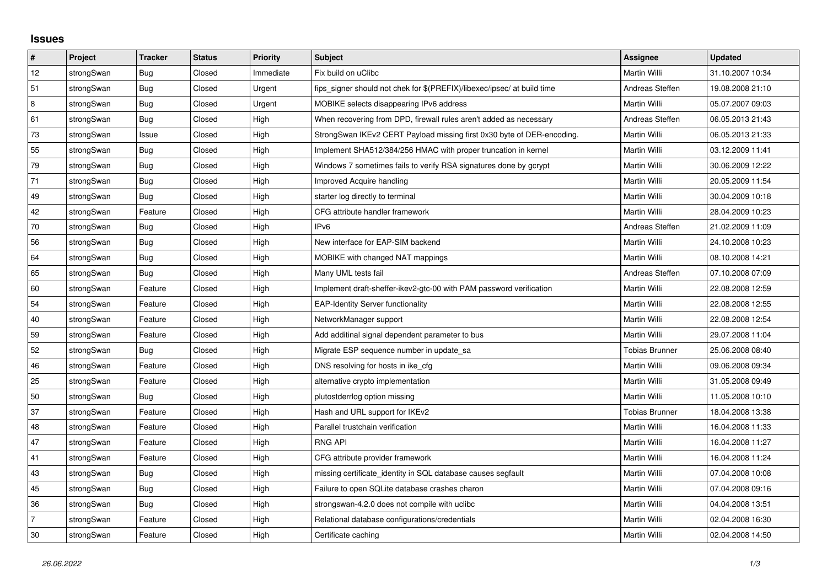## **Issues**

| #              | Project    | <b>Tracker</b> | <b>Status</b> | <b>Priority</b> | Subject                                                                 | <b>Assignee</b>       | <b>Updated</b>   |
|----------------|------------|----------------|---------------|-----------------|-------------------------------------------------------------------------|-----------------------|------------------|
| 12             | strongSwan | <b>Bug</b>     | Closed        | Immediate       | Fix build on uClibc                                                     | Martin Willi          | 31.10.2007 10:34 |
| 51             | strongSwan | Bug            | Closed        | Urgent          | fips signer should not chek for \$(PREFIX)/libexec/ipsec/ at build time | Andreas Steffen       | 19.08.2008 21:10 |
| 8              | strongSwan | Bug            | Closed        | Urgent          | MOBIKE selects disappearing IPv6 address                                | Martin Willi          | 05.07.2007 09:03 |
| 61             | strongSwan | Bug            | Closed        | High            | When recovering from DPD, firewall rules aren't added as necessary      | Andreas Steffen       | 06.05.2013 21:43 |
| 73             | strongSwan | Issue          | Closed        | High            | StrongSwan IKEv2 CERT Payload missing first 0x30 byte of DER-encoding.  | Martin Willi          | 06.05.2013 21:33 |
| 55             | strongSwan | Bug            | Closed        | High            | Implement SHA512/384/256 HMAC with proper truncation in kernel          | Martin Willi          | 03.12.2009 11:41 |
| 79             | strongSwan | Bug            | Closed        | High            | Windows 7 sometimes fails to verify RSA signatures done by gcrypt       | Martin Willi          | 30.06.2009 12:22 |
| 71             | strongSwan | Bug            | Closed        | High            | Improved Acquire handling                                               | Martin Willi          | 20.05.2009 11:54 |
| 49             | strongSwan | Bug            | Closed        | High            | starter log directly to terminal                                        | Martin Willi          | 30.04.2009 10:18 |
| 42             | strongSwan | Feature        | Closed        | High            | CFG attribute handler framework                                         | Martin Willi          | 28.04.2009 10:23 |
| 70             | strongSwan | Bug            | Closed        | High            | IPv <sub>6</sub>                                                        | Andreas Steffen       | 21.02.2009 11:09 |
| 56             | strongSwan | Bug            | Closed        | High            | New interface for EAP-SIM backend                                       | Martin Willi          | 24.10.2008 10:23 |
| 64             | strongSwan | Bug            | Closed        | High            | MOBIKE with changed NAT mappings                                        | Martin Willi          | 08.10.2008 14:21 |
| 65             | strongSwan | Bug            | Closed        | High            | Many UML tests fail                                                     | Andreas Steffen       | 07.10.2008 07:09 |
| 60             | strongSwan | Feature        | Closed        | High            | Implement draft-sheffer-ikev2-gtc-00 with PAM password verification     | Martin Willi          | 22.08.2008 12:59 |
| 54             | strongSwan | Feature        | Closed        | High            | <b>EAP-Identity Server functionality</b>                                | Martin Willi          | 22.08.2008 12:55 |
| 40             | strongSwan | Feature        | Closed        | High            | NetworkManager support                                                  | Martin Willi          | 22.08.2008 12:54 |
| 59             | strongSwan | Feature        | Closed        | High            | Add additinal signal dependent parameter to bus                         | Martin Willi          | 29.07.2008 11:04 |
| 52             | strongSwan | Bug            | Closed        | High            | Migrate ESP sequence number in update sa                                | <b>Tobias Brunner</b> | 25.06.2008 08:40 |
| 46             | strongSwan | Feature        | Closed        | High            | DNS resolving for hosts in ike_cfg                                      | Martin Willi          | 09.06.2008 09:34 |
| 25             | strongSwan | Feature        | Closed        | High            | alternative crypto implementation                                       | Martin Willi          | 31.05.2008 09:49 |
| 50             | strongSwan | Bug            | Closed        | High            | plutostderrlog option missing                                           | Martin Willi          | 11.05.2008 10:10 |
| 37             | strongSwan | Feature        | Closed        | High            | Hash and URL support for IKEv2                                          | Tobias Brunner        | 18.04.2008 13:38 |
| 48             | strongSwan | Feature        | Closed        | High            | Parallel trustchain verification                                        | Martin Willi          | 16.04.2008 11:33 |
| 47             | strongSwan | Feature        | Closed        | High            | <b>RNG API</b>                                                          | Martin Willi          | 16.04.2008 11:27 |
| 41             | strongSwan | Feature        | Closed        | High            | CFG attribute provider framework                                        | Martin Willi          | 16.04.2008 11:24 |
| 43             | strongSwan | Bug            | Closed        | High            | missing certificate identity in SQL database causes segfault            | Martin Willi          | 07.04.2008 10:08 |
| 45             | strongSwan | Bug            | Closed        | High            | Failure to open SQLite database crashes charon                          | Martin Willi          | 07.04.2008 09:16 |
| 36             | strongSwan | Bug            | Closed        | High            | strongswan-4.2.0 does not compile with uclibc                           | Martin Willi          | 04.04.2008 13:51 |
| $\overline{7}$ | strongSwan | Feature        | Closed        | High            | Relational database configurations/credentials                          | Martin Willi          | 02.04.2008 16:30 |
| 30             | strongSwan | Feature        | Closed        | High            | Certificate caching                                                     | <b>Martin Willi</b>   | 02.04.2008 14:50 |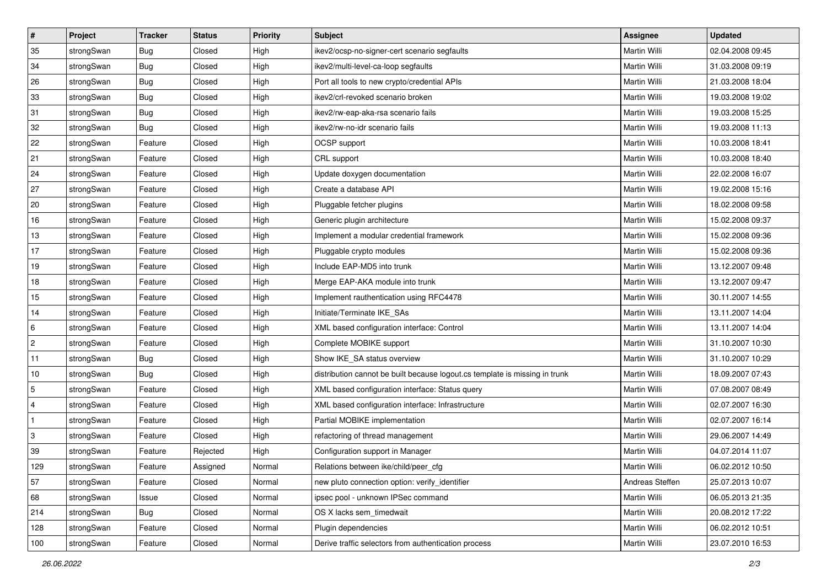| $\pmb{\#}$     | Project    | <b>Tracker</b> | <b>Status</b> | <b>Priority</b> | <b>Subject</b>                                                              | Assignee            | <b>Updated</b>   |
|----------------|------------|----------------|---------------|-----------------|-----------------------------------------------------------------------------|---------------------|------------------|
| 35             | strongSwan | <b>Bug</b>     | Closed        | High            | ikev2/ocsp-no-signer-cert scenario segfaults                                | Martin Willi        | 02.04.2008 09:45 |
| 34             | strongSwan | Bug            | Closed        | High            | ikev2/multi-level-ca-loop segfaults                                         | Martin Willi        | 31.03.2008 09:19 |
| 26             | strongSwan | Bug            | Closed        | High            | Port all tools to new crypto/credential APIs                                | Martin Willi        | 21.03.2008 18:04 |
| 33             | strongSwan | Bug            | Closed        | High            | ikev2/crl-revoked scenario broken                                           | Martin Willi        | 19.03.2008 19:02 |
| 31             | strongSwan | Bug            | Closed        | High            | ikev2/rw-eap-aka-rsa scenario fails                                         | <b>Martin Willi</b> | 19.03.2008 15:25 |
| 32             | strongSwan | Bug            | Closed        | High            | ikev2/rw-no-idr scenario fails                                              | Martin Willi        | 19.03.2008 11:13 |
| 22             | strongSwan | Feature        | Closed        | High            | OCSP support                                                                | Martin Willi        | 10.03.2008 18:41 |
| 21             | strongSwan | Feature        | Closed        | High            | CRL support                                                                 | Martin Willi        | 10.03.2008 18:40 |
| 24             | strongSwan | Feature        | Closed        | High            | Update doxygen documentation                                                | Martin Willi        | 22.02.2008 16:07 |
| 27             | strongSwan | Feature        | Closed        | High            | Create a database API                                                       | <b>Martin Willi</b> | 19.02.2008 15:16 |
| 20             | strongSwan | Feature        | Closed        | High            | Pluggable fetcher plugins                                                   | Martin Willi        | 18.02.2008 09:58 |
| 16             | strongSwan | Feature        | Closed        | High            | Generic plugin architecture                                                 | Martin Willi        | 15.02.2008 09:37 |
| 13             | strongSwan | Feature        | Closed        | High            | Implement a modular credential framework                                    | <b>Martin Willi</b> | 15.02.2008 09:36 |
| 17             | strongSwan | Feature        | Closed        | High            | Pluggable crypto modules                                                    | Martin Willi        | 15.02.2008 09:36 |
| 19             | strongSwan | Feature        | Closed        | High            | Include EAP-MD5 into trunk                                                  | <b>Martin Willi</b> | 13.12.2007 09:48 |
| 18             | strongSwan | Feature        | Closed        | High            | Merge EAP-AKA module into trunk                                             | Martin Willi        | 13.12.2007 09:47 |
| 15             | strongSwan | Feature        | Closed        | High            | Implement rauthentication using RFC4478                                     | Martin Willi        | 30.11.2007 14:55 |
| 14             | strongSwan | Feature        | Closed        | High            | Initiate/Terminate IKE_SAs                                                  | Martin Willi        | 13.11.2007 14:04 |
| 6              | strongSwan | Feature        | Closed        | High            | XML based configuration interface: Control                                  | Martin Willi        | 13.11.2007 14:04 |
| $\overline{2}$ | strongSwan | Feature        | Closed        | High            | Complete MOBIKE support                                                     | Martin Willi        | 31.10.2007 10:30 |
| 11             | strongSwan | Bug            | Closed        | High            | Show IKE_SA status overview                                                 | Martin Willi        | 31.10.2007 10:29 |
| $10$           | strongSwan | Bug            | Closed        | High            | distribution cannot be built because logout.cs template is missing in trunk | Martin Willi        | 18.09.2007 07:43 |
| 5              | strongSwan | Feature        | Closed        | High            | XML based configuration interface: Status query                             | Martin Willi        | 07.08.2007 08:49 |
| 4              | strongSwan | Feature        | Closed        | High            | XML based configuration interface: Infrastructure                           | Martin Willi        | 02.07.2007 16:30 |
| -1             | strongSwan | Feature        | Closed        | High            | Partial MOBIKE implementation                                               | Martin Willi        | 02.07.2007 16:14 |
| 3              | strongSwan | Feature        | Closed        | High            | refactoring of thread management                                            | <b>Martin Willi</b> | 29.06.2007 14:49 |
| 39             | strongSwan | Feature        | Rejected      | High            | Configuration support in Manager                                            | Martin Willi        | 04.07.2014 11:07 |
| 129            | strongSwan | Feature        | Assigned      | Normal          | Relations between ike/child/peer_cfg                                        | Martin Willi        | 06.02.2012 10:50 |
| 57             | strongSwan | Feature        | Closed        | Normal          | new pluto connection option: verify identifier                              | Andreas Steffen     | 25.07.2013 10:07 |
| 68             | strongSwan | Issue          | Closed        | Normal          | ipsec pool - unknown IPSec command                                          | Martin Willi        | 06.05.2013 21:35 |
| 214            | strongSwan | <b>Bug</b>     | Closed        | Normal          | OS X lacks sem timedwait                                                    | Martin Willi        | 20.08.2012 17:22 |
| 128            | strongSwan | Feature        | Closed        | Normal          | Plugin dependencies                                                         | Martin Willi        | 06.02.2012 10:51 |
| 100            | strongSwan | Feature        | Closed        | Normal          | Derive traffic selectors from authentication process                        | Martin Willi        | 23.07.2010 16:53 |